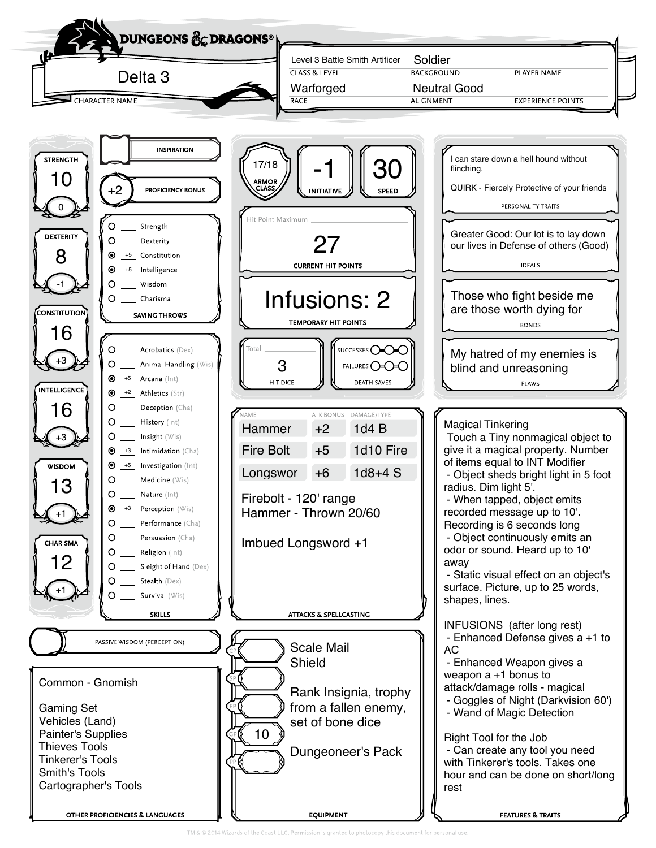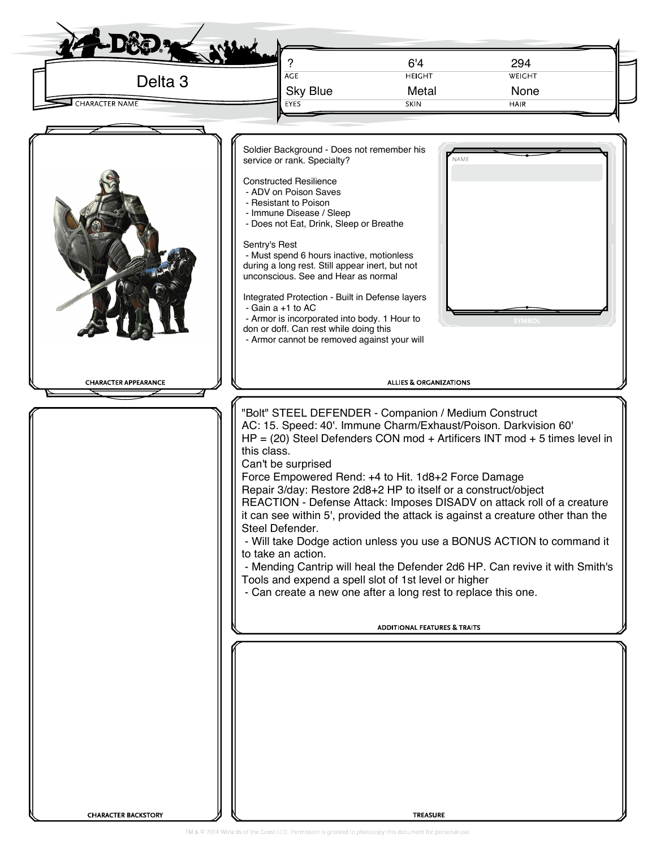| 6'4<br>294<br>AGE<br><b>HEIGHT</b><br>WEIGHT<br>Delta <sub>3</sub><br><b>Sky Blue</b><br>Metal<br>None<br><b>CHARACTER NAME</b><br>SKIN<br><b>HAIR</b><br><b>EYES</b><br>Soldier Background - Does not remember his<br>service or rank. Specialty?<br>NAME<br><b>Constructed Resilience</b><br>- ADV on Poison Saves<br>- Resistant to Poison<br>- Immune Disease / Sleep<br>- Does not Eat, Drink, Sleep or Breathe<br>Sentry's Rest<br>- Must spend 6 hours inactive, motionless<br>during a long rest. Still appear inert, but not<br>unconscious. See and Hear as normal<br>Integrated Protection - Built in Defense layers<br>- Gain $a + 1$ to AC<br>- Armor is incorporated into body. 1 Hour to<br><b>SYMBO</b><br>don or doff. Can rest while doing this<br>- Armor cannot be removed against your will<br><b>ALLIES &amp; ORGANIZATIONS</b><br><b>CHARACTER APPEARANCE</b><br>"Bolt" STEEL DEFENDER - Companion / Medium Construct<br>AC: 15. Speed: 40'. Immune Charm/Exhaust/Poison. Darkvision 60'<br>$HP = (20)$ Steel Defenders CON mod + Artificers INT mod + 5 times level in<br>this class.<br>Can't be surprised<br>Force Empowered Rend: +4 to Hit. 1d8+2 Force Damage<br>Repair 3/day: Restore 2d8+2 HP to itself or a construct/object<br>REACTION - Defense Attack: Imposes DISADV on attack roll of a creature<br>it can see within 5', provided the attack is against a creature other than the<br>Steel Defender.<br>- Will take Dodge action unless you use a BONUS ACTION to command it<br>to take an action.<br>- Mending Cantrip will heal the Defender 2d6 HP. Can revive it with Smith's<br>Tools and expend a spell slot of 1st level or higher<br>- Can create a new one after a long rest to replace this one.<br><b>ADDITIONAL FEATURES &amp; TRAITS</b> |  |  |
|----------------------------------------------------------------------------------------------------------------------------------------------------------------------------------------------------------------------------------------------------------------------------------------------------------------------------------------------------------------------------------------------------------------------------------------------------------------------------------------------------------------------------------------------------------------------------------------------------------------------------------------------------------------------------------------------------------------------------------------------------------------------------------------------------------------------------------------------------------------------------------------------------------------------------------------------------------------------------------------------------------------------------------------------------------------------------------------------------------------------------------------------------------------------------------------------------------------------------------------------------------------------------------------------------------------------------------------------------------------------------------------------------------------------------------------------------------------------------------------------------------------------------------------------------------------------------------------------------------------------------------------------------------------------------------------------------------------------------------------------------------------------------------------------|--|--|
|                                                                                                                                                                                                                                                                                                                                                                                                                                                                                                                                                                                                                                                                                                                                                                                                                                                                                                                                                                                                                                                                                                                                                                                                                                                                                                                                                                                                                                                                                                                                                                                                                                                                                                                                                                                              |  |  |
|                                                                                                                                                                                                                                                                                                                                                                                                                                                                                                                                                                                                                                                                                                                                                                                                                                                                                                                                                                                                                                                                                                                                                                                                                                                                                                                                                                                                                                                                                                                                                                                                                                                                                                                                                                                              |  |  |
|                                                                                                                                                                                                                                                                                                                                                                                                                                                                                                                                                                                                                                                                                                                                                                                                                                                                                                                                                                                                                                                                                                                                                                                                                                                                                                                                                                                                                                                                                                                                                                                                                                                                                                                                                                                              |  |  |
|                                                                                                                                                                                                                                                                                                                                                                                                                                                                                                                                                                                                                                                                                                                                                                                                                                                                                                                                                                                                                                                                                                                                                                                                                                                                                                                                                                                                                                                                                                                                                                                                                                                                                                                                                                                              |  |  |
|                                                                                                                                                                                                                                                                                                                                                                                                                                                                                                                                                                                                                                                                                                                                                                                                                                                                                                                                                                                                                                                                                                                                                                                                                                                                                                                                                                                                                                                                                                                                                                                                                                                                                                                                                                                              |  |  |
|                                                                                                                                                                                                                                                                                                                                                                                                                                                                                                                                                                                                                                                                                                                                                                                                                                                                                                                                                                                                                                                                                                                                                                                                                                                                                                                                                                                                                                                                                                                                                                                                                                                                                                                                                                                              |  |  |
|                                                                                                                                                                                                                                                                                                                                                                                                                                                                                                                                                                                                                                                                                                                                                                                                                                                                                                                                                                                                                                                                                                                                                                                                                                                                                                                                                                                                                                                                                                                                                                                                                                                                                                                                                                                              |  |  |
| <b>CHARACTER BACKSTORY</b><br><b>TREASURE</b>                                                                                                                                                                                                                                                                                                                                                                                                                                                                                                                                                                                                                                                                                                                                                                                                                                                                                                                                                                                                                                                                                                                                                                                                                                                                                                                                                                                                                                                                                                                                                                                                                                                                                                                                                |  |  |